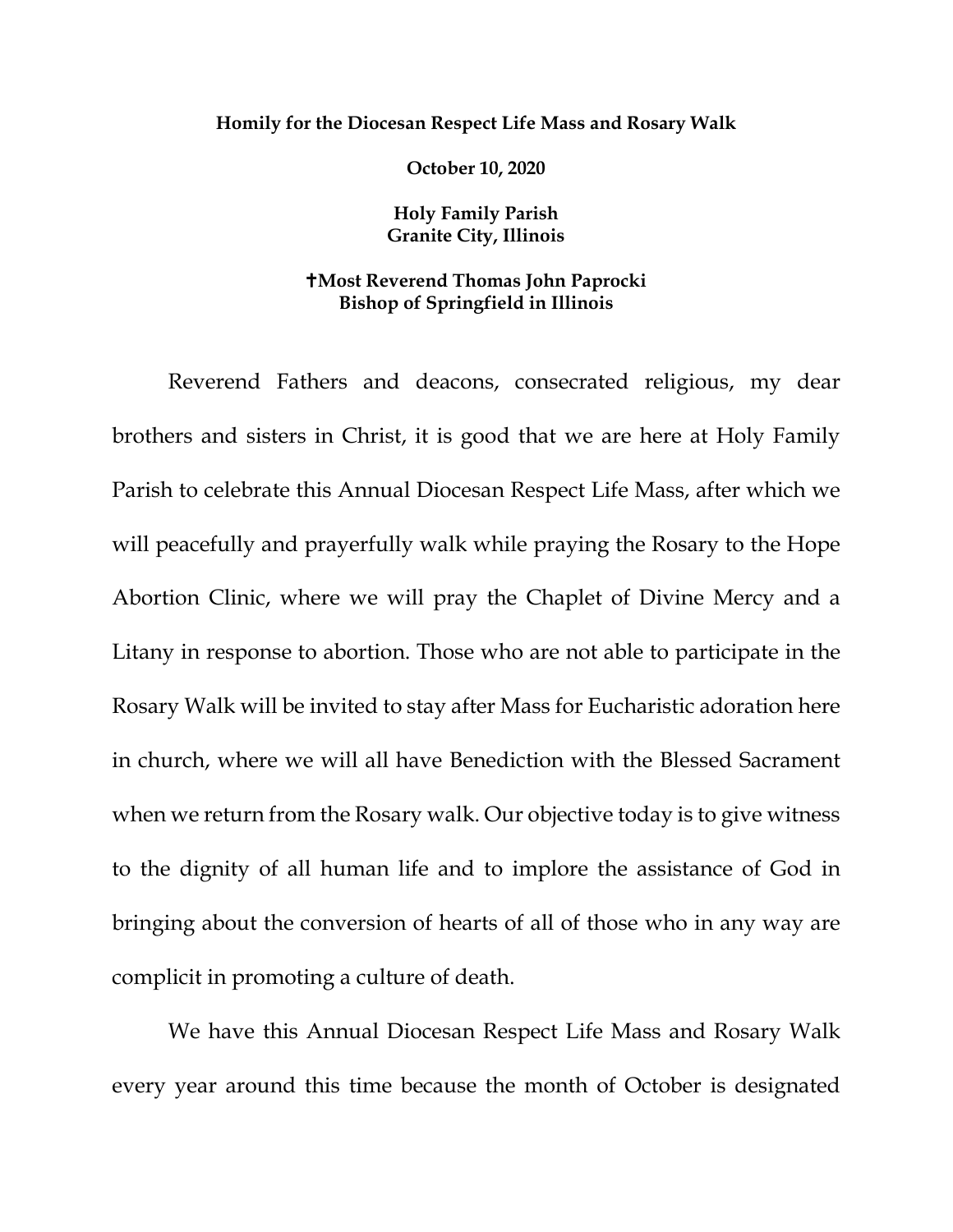## **Homily for the Diocesan Respect Life Mass and Rosary Walk**

**October 10, 2020**

**Holy Family Parish Granite City, Illinois**

## **Most Reverend Thomas John Paprocki Bishop of Springfield in Illinois**

Reverend Fathers and deacons, consecrated religious, my dear brothers and sisters in Christ, it is good that we are here at Holy Family Parish to celebrate this Annual Diocesan Respect Life Mass, after which we will peacefully and prayerfully walk while praying the Rosary to the Hope Abortion Clinic, where we will pray the Chaplet of Divine Mercy and a Litany in response to abortion. Those who are not able to participate in the Rosary Walk will be invited to stay after Mass for Eucharistic adoration here in church, where we will all have Benediction with the Blessed Sacrament when we return from the Rosary walk. Our objective today is to give witness to the dignity of all human life and to implore the assistance of God in bringing about the conversion of hearts of all of those who in any way are complicit in promoting a culture of death.

We have this Annual Diocesan Respect Life Mass and Rosary Walk every year around this time because the month of October is designated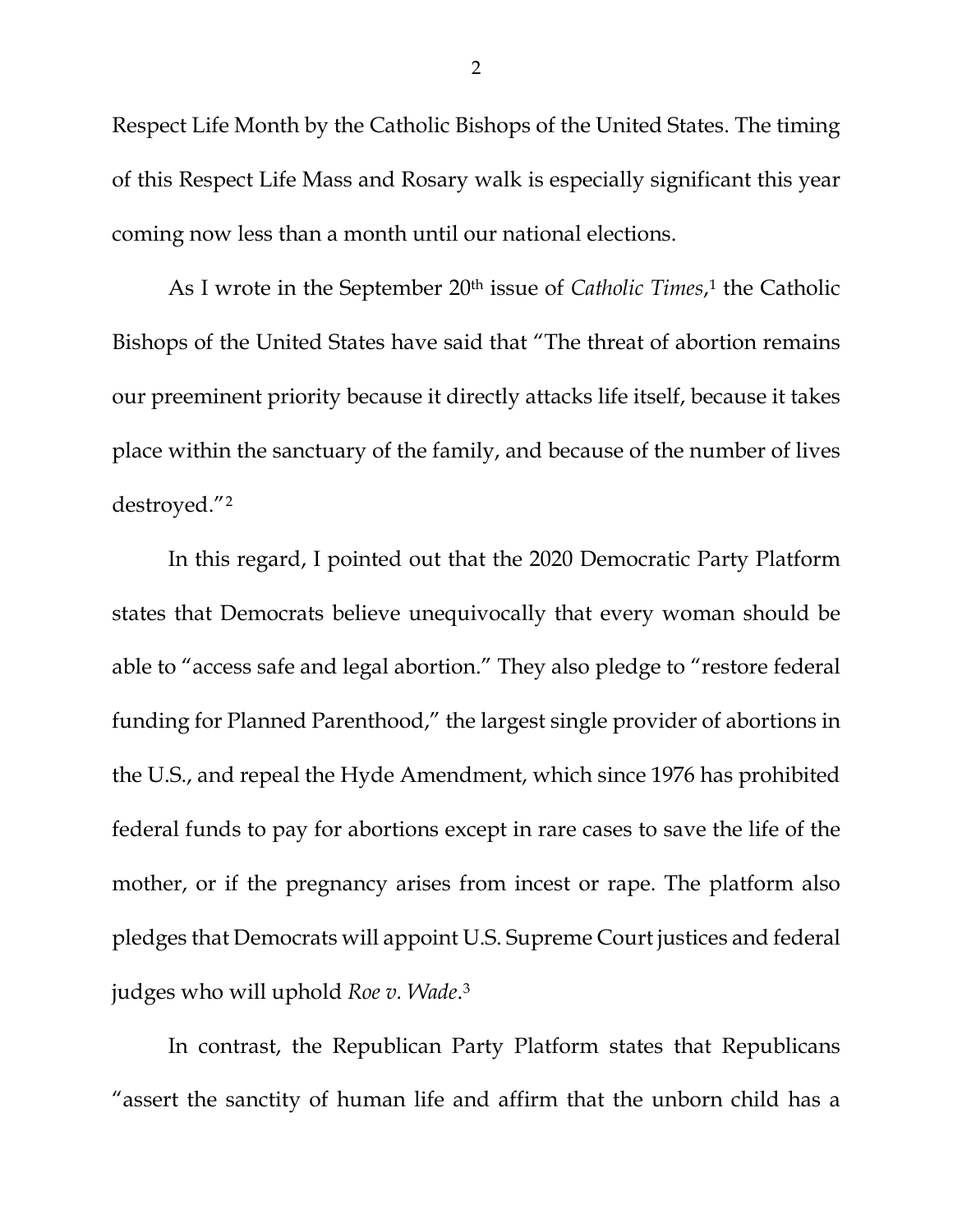Respect Life Month by the Catholic Bishops of the United States. The timing of this Respect Life Mass and Rosary walk is especially significant this year coming now less than a month until our national elections.

As I wrote in the September 20th issue of *Catholic Times*,[1](#page-7-0) the Catholic Bishops of the United States have said that "The threat of abortion remains our preeminent priority because it directly attacks life itself, because it takes place within the sanctuary of the family, and because of the number of lives destroyed."[2](#page-7-1)

In this regard, I pointed out that the 2020 Democratic Party Platform states that Democrats believe unequivocally that every woman should be able to "access safe and legal abortion." They also pledge to "restore federal funding for Planned Parenthood," the largest single provider of abortions in the U.S., and repeal the Hyde Amendment, which since 1976 has prohibited federal funds to pay for abortions except in rare cases to save the life of the mother, or if the pregnancy arises from incest or rape. The platform also pledges that Democrats will appoint U.S. Supreme Court justices and federal judges who will uphold *Roe v. Wade*.[3](#page-7-2)

In contrast, the Republican Party Platform states that Republicans "assert the sanctity of human life and affirm that the unborn child has a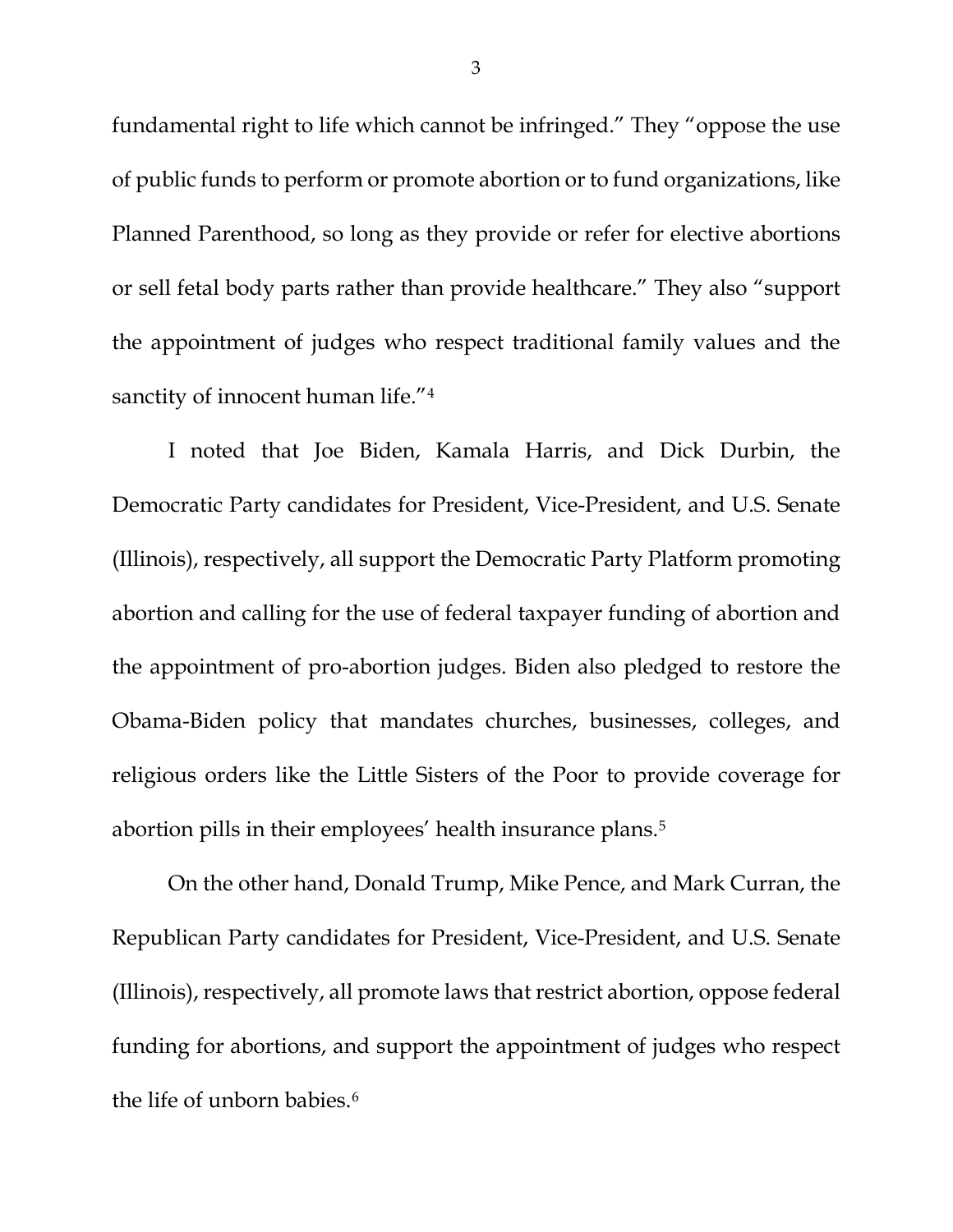fundamental right to life which cannot be infringed." They "oppose the use of public funds to perform or promote abortion or to fund organizations, like Planned Parenthood, so long as they provide or refer for elective abortions or sell fetal body parts rather than provide healthcare." They also "support the appointment of judges who respect traditional family values and the sanctity of innocent human life."<sup>[4](#page-7-3)</sup>

I noted that Joe Biden, Kamala Harris, and Dick Durbin, the Democratic Party candidates for President, Vice-President, and U.S. Senate (Illinois), respectively, all support the Democratic Party Platform promoting abortion and calling for the use of federal taxpayer funding of abortion and the appointment of pro-abortion judges. Biden also pledged to restore the Obama-Biden policy that mandates churches, businesses, colleges, and religious orders like the Little Sisters of the Poor to provide coverage for abortion pills in their employees' health insurance plans[.5](#page-7-4)

On the other hand, Donald Trump, Mike Pence, and Mark Curran, the Republican Party candidates for President, Vice-President, and U.S. Senate (Illinois), respectively, all promote laws that restrict abortion, oppose federal funding for abortions, and support the appointment of judges who respect the life of unborn babies.<sup>[6](#page-7-5)</sup>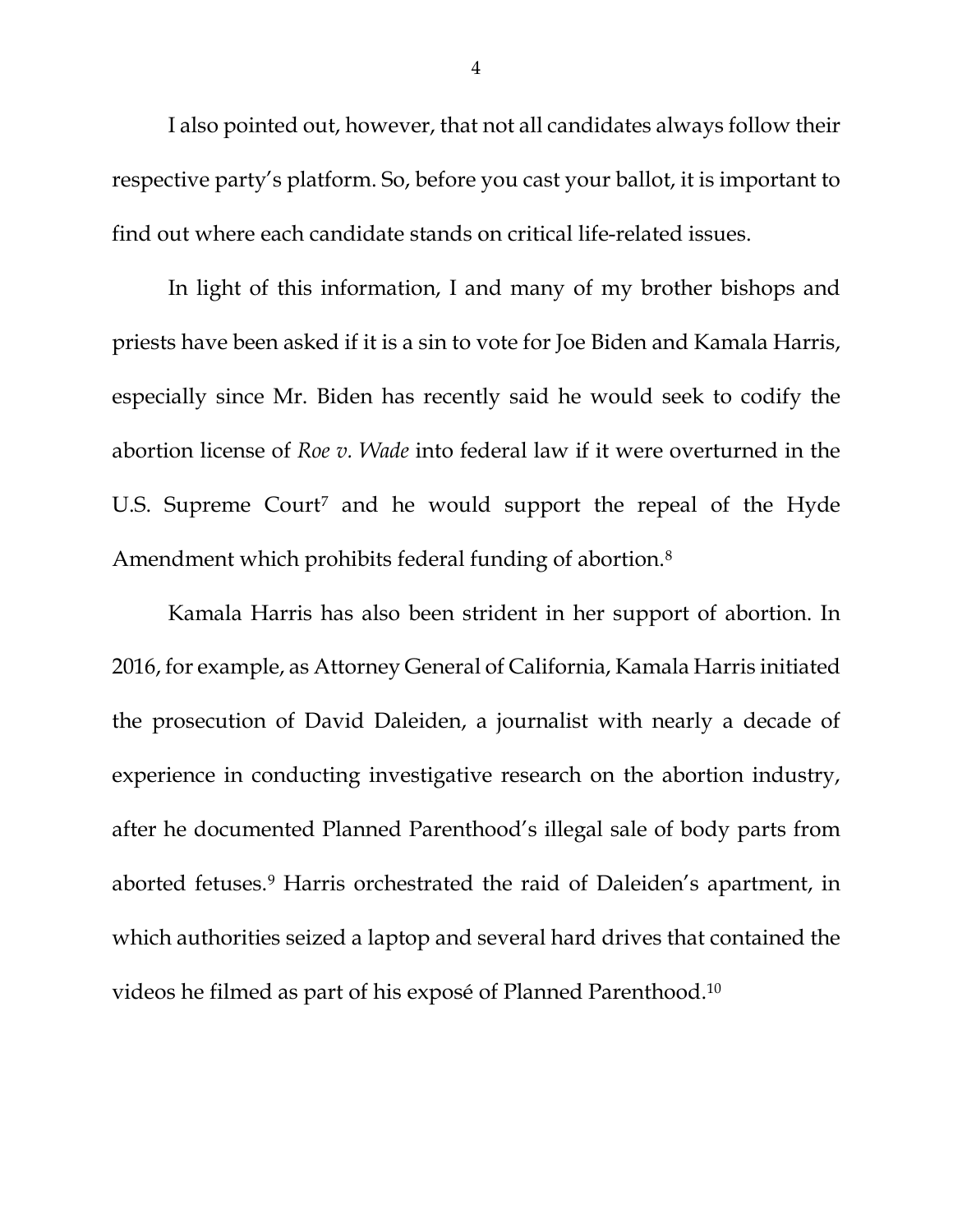I also pointed out, however, that not all candidates always follow their respective party's platform. So, before you cast your ballot, it is important to find out where each candidate stands on critical life-related issues.

In light of this information, I and many of my brother bishops and priests have been asked if it is a sin to vote for Joe Biden and Kamala Harris, especially since Mr. Biden has recently said he would seek to codify the abortion license of *Roe v. Wade* into federal law if it were overturned in the U.S. Supreme Court<sup>[7](#page-7-6)</sup> and he would support the repeal of the Hyde Amendment which prohibits federal funding of abortion.[8](#page-7-7)

Kamala Harris has also been strident in her support of abortion. In 2016, for example, as Attorney General of California, Kamala Harris initiated the prosecution of David Daleiden, a journalist with nearly a decade of experience in conducting investigative research on the abortion industry, after he documented Planned Parenthood's illegal sale of body parts from aborted fetuses.[9](#page-7-8) Harris orchestrated the raid of Daleiden's apartment, in which authorities seized a laptop and several hard drives that contained the videos he filmed as part of his exposé of Planned Parenthood[.10](#page-8-0)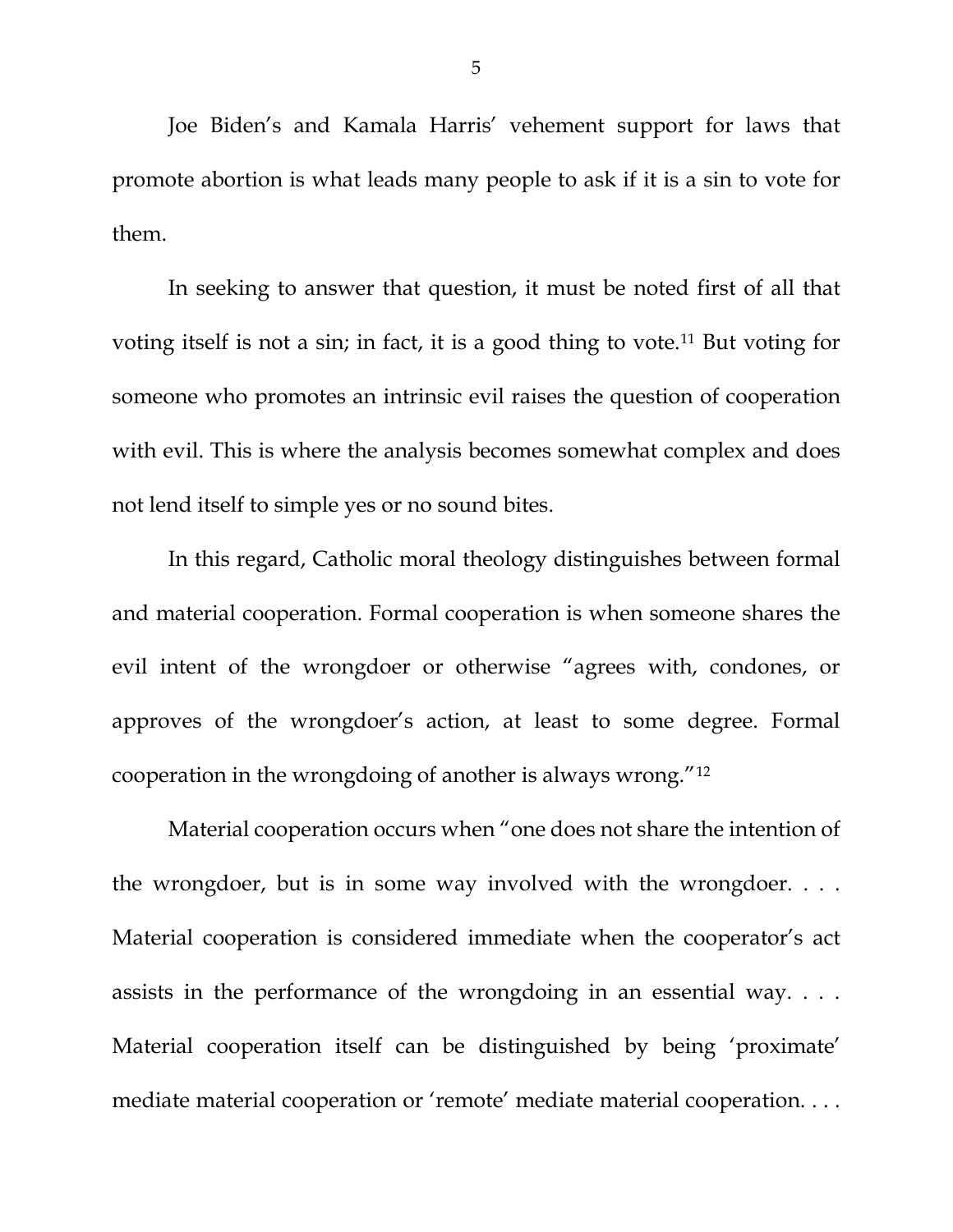Joe Biden's and Kamala Harris' vehement support for laws that promote abortion is what leads many people to ask if it is a sin to vote for them.

In seeking to answer that question, it must be noted first of all that voting itself is not a sin; in fact, it is a good thing to vote.[11](#page-8-1) But voting for someone who promotes an intrinsic evil raises the question of cooperation with evil. This is where the analysis becomes somewhat complex and does not lend itself to simple yes or no sound bites.

In this regard, Catholic moral theology distinguishes between formal and material cooperation. Formal cooperation is when someone shares the evil intent of the wrongdoer or otherwise "agrees with, condones, or approves of the wrongdoer's action, at least to some degree. Formal cooperation in the wrongdoing of another is always wrong."[12](#page-8-2)

Material cooperation occurs when "one does not share the intention of the wrongdoer, but is in some way involved with the wrongdoer. . . . Material cooperation is considered immediate when the cooperator's act assists in the performance of the wrongdoing in an essential way. . . . Material cooperation itself can be distinguished by being 'proximate' mediate material cooperation or 'remote' mediate material cooperation. . . .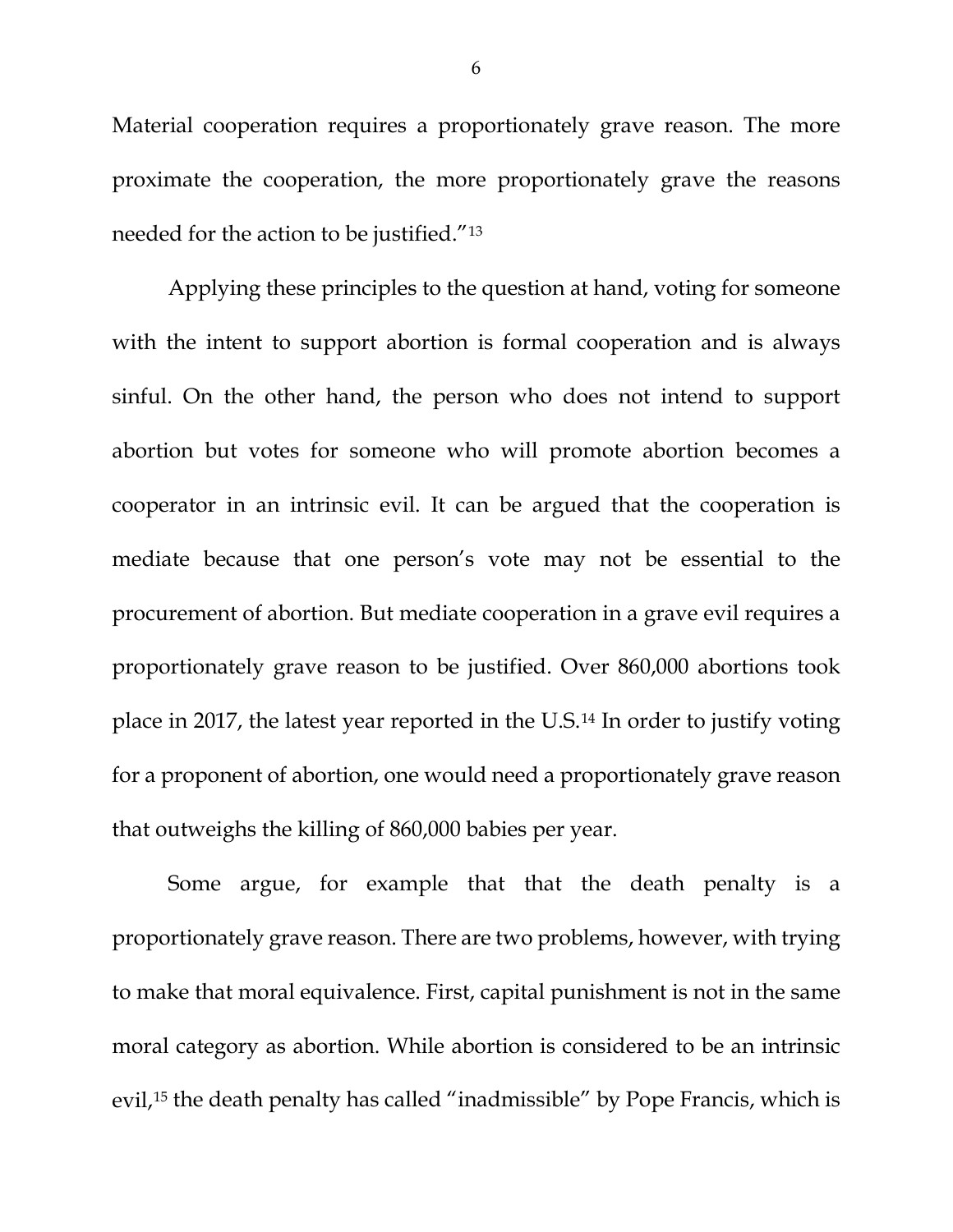Material cooperation requires a proportionately grave reason. The more proximate the cooperation, the more proportionately grave the reasons needed for the action to be justified."[13](#page-8-3)

Applying these principles to the question at hand, voting for someone with the intent to support abortion is formal cooperation and is always sinful. On the other hand, the person who does not intend to support abortion but votes for someone who will promote abortion becomes a cooperator in an intrinsic evil. It can be argued that the cooperation is mediate because that one person's vote may not be essential to the procurement of abortion. But mediate cooperation in a grave evil requires a proportionately grave reason to be justified. Over 860,000 abortions took place in 2017, the latest year reported in the U.S.[14](#page-8-4) In order to justify voting for a proponent of abortion, one would need a proportionately grave reason that outweighs the killing of 860,000 babies per year.

Some argue, for example that that the death penalty is a proportionately grave reason. There are two problems, however, with trying to make that moral equivalence. First, capital punishment is not in the same moral category as abortion. While abortion is considered to be an intrinsic evil,<sup>[15](#page-8-5)</sup> the death penalty has called "inadmissible" by Pope Francis, which is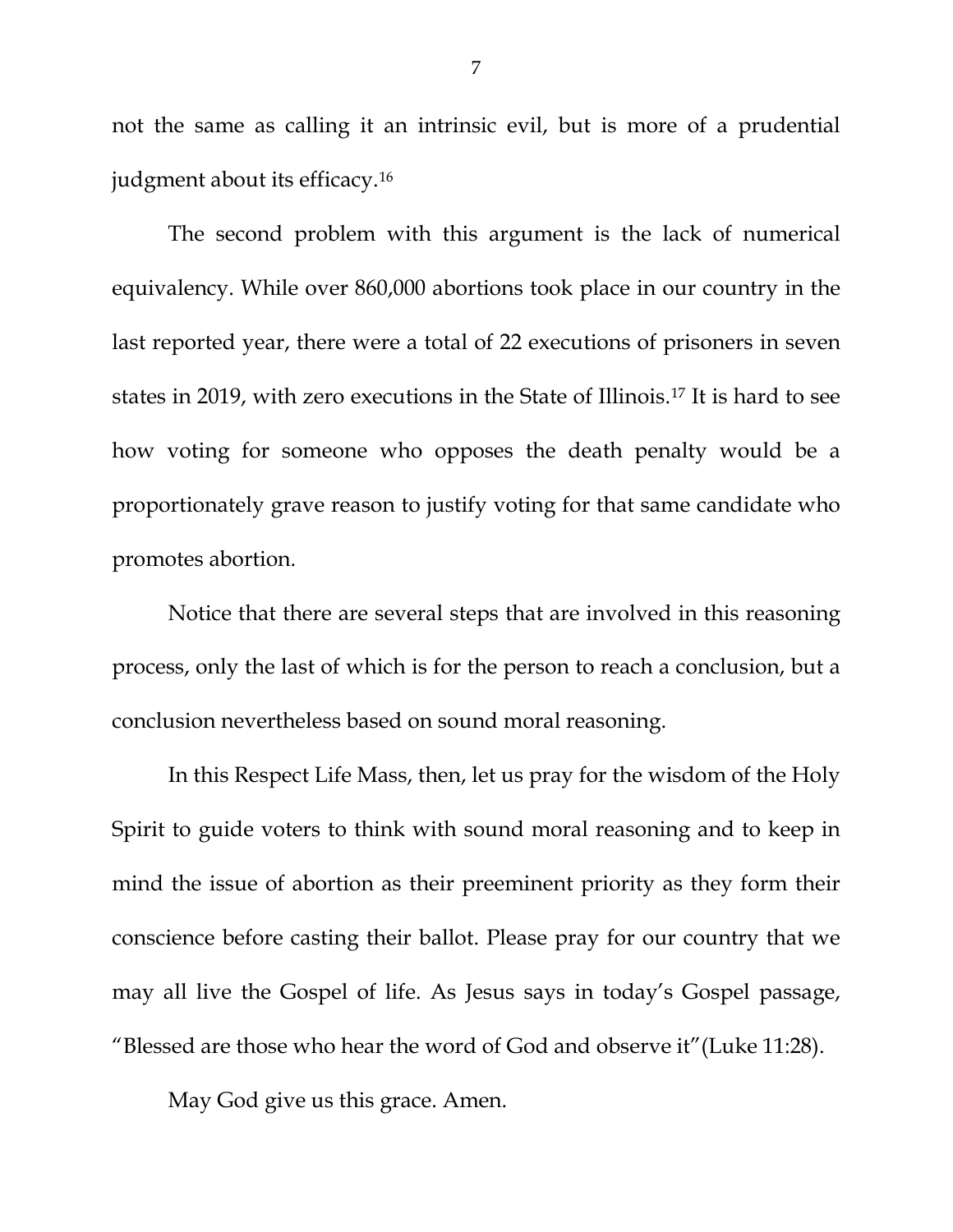not the same as calling it an intrinsic evil, but is more of a prudential judgment about its efficacy.[16](#page-8-6)

The second problem with this argument is the lack of numerical equivalency. While over 860,000 abortions took place in our country in the last reported year, there were a total of 22 executions of prisoners in seven states in 2019, with zero executions in the State of Illinois.[17](#page-8-7) It is hard to see how voting for someone who opposes the death penalty would be a proportionately grave reason to justify voting for that same candidate who promotes abortion.

Notice that there are several steps that are involved in this reasoning process, only the last of which is for the person to reach a conclusion, but a conclusion nevertheless based on sound moral reasoning.

In this Respect Life Mass, then, let us pray for the wisdom of the Holy Spirit to guide voters to think with sound moral reasoning and to keep in mind the issue of abortion as their preeminent priority as they form their conscience before casting their ballot. Please pray for our country that we may all live the Gospel of life. As Jesus says in today's Gospel passage, "Blessed are those who hear the word of God and observe it"(Luke 11:28).

May God give us this grace. Amen.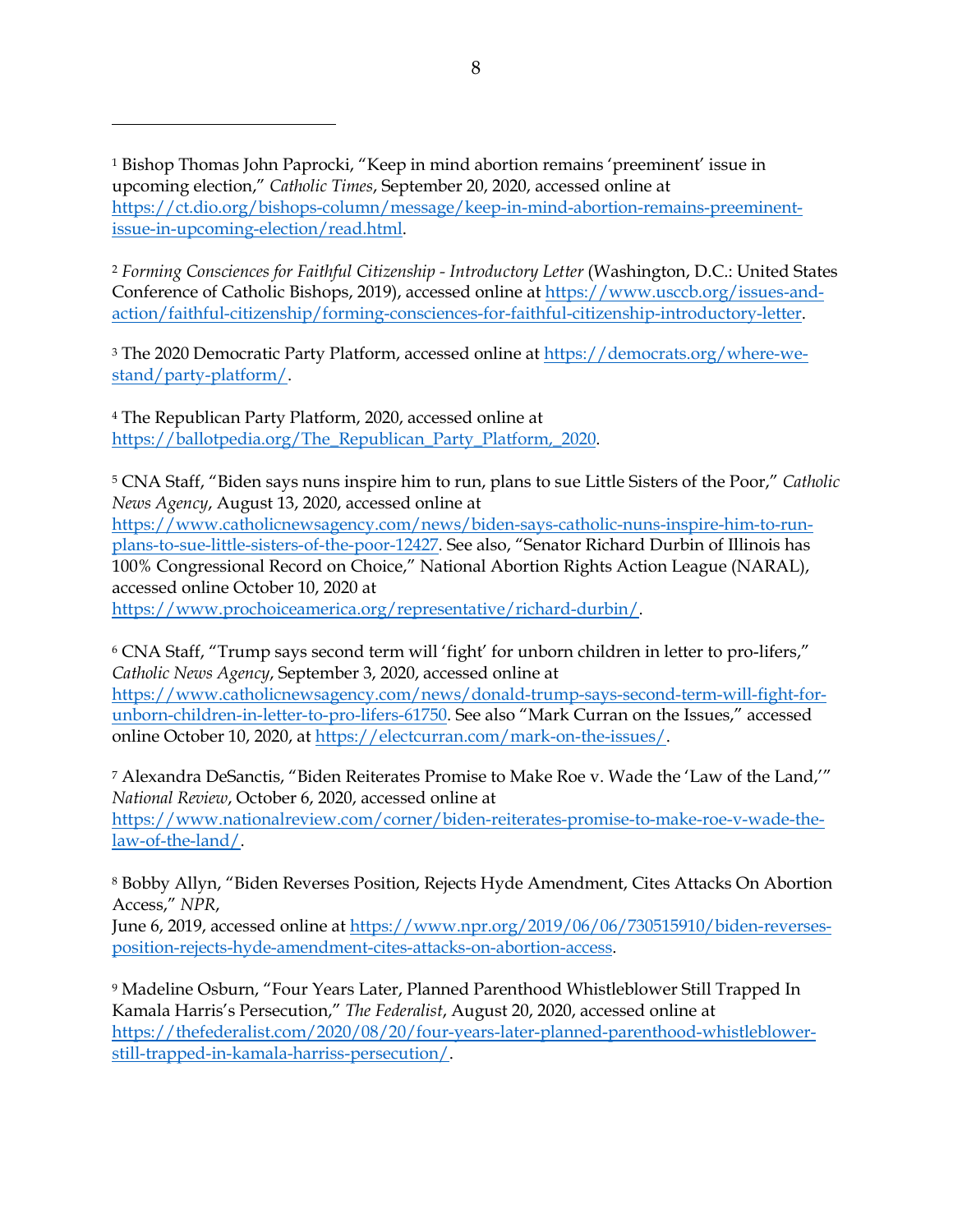<span id="page-7-0"></span><sup>1</sup> Bishop Thomas John Paprocki, "Keep in mind abortion remains 'preeminent' issue in upcoming election," *Catholic Times*, September 20, 2020, accessed online at [https://ct.dio.org/bishops-column/message/keep-in-mind-abortion-remains-preeminent](https://ct.dio.org/bishops-column/message/keep-in-mind-abortion-remains-preeminent-issue-in-upcoming-election/read.html)[issue-in-upcoming-election/read.html.](https://ct.dio.org/bishops-column/message/keep-in-mind-abortion-remains-preeminent-issue-in-upcoming-election/read.html)

<span id="page-7-1"></span><sup>2</sup> *Forming Consciences for Faithful Citizenship - Introductory Letter* (Washington, D.C.: United States Conference of Catholic Bishops, 2019), accessed online at [https://www.usccb.org/issues-and](https://www.usccb.org/issues-and-action/faithful-citizenship/forming-consciences-for-faithful-citizenship-introductory-letter)[action/faithful-citizenship/forming-consciences-for-faithful-citizenship-introductory-letter.](https://www.usccb.org/issues-and-action/faithful-citizenship/forming-consciences-for-faithful-citizenship-introductory-letter)

<span id="page-7-2"></span><sup>3</sup> The 2020 Democratic Party Platform, accessed online at [https://democrats.org/where-we](https://democrats.org/where-we-stand/party-platform/)[stand/party-platform/.](https://democrats.org/where-we-stand/party-platform/)

<span id="page-7-3"></span><sup>4</sup> The Republican Party Platform, 2020, accessed online at https://ballotpedia.org/The\_Republican\_Party\_Platform, 2020.

<span id="page-7-4"></span><sup>5</sup> CNA Staff, "Biden says nuns inspire him to run, plans to sue Little Sisters of the Poor," *Catholic News Agency*, August 13, 2020, accessed online at

[https://www.catholicnewsagency.com/news/biden-says-catholic-nuns-inspire-him-to-run](https://www.catholicnewsagency.com/news/biden-says-catholic-nuns-inspire-him-to-run-plans-to-sue-little-sisters-of-the-poor-12427)[plans-to-sue-little-sisters-of-the-poor-12427.](https://www.catholicnewsagency.com/news/biden-says-catholic-nuns-inspire-him-to-run-plans-to-sue-little-sisters-of-the-poor-12427) See also, "Senator Richard Durbin of Illinois has 100% Congressional Record on Choice," National Abortion Rights Action League (NARAL), accessed online October 10, 2020 at

[https://www.prochoiceamerica.org/representative/richard-durbin/.](https://www.prochoiceamerica.org/representative/richard-durbin/)

<span id="page-7-5"></span><sup>6</sup> CNA Staff, "Trump says second term will 'fight' for unborn children in letter to pro-lifers," *Catholic News Agency*, September 3, 2020, accessed online at [https://www.catholicnewsagency.com/news/donald-trump-says-second-term-will-fight-for](https://www.catholicnewsagency.com/news/donald-trump-says-second-term-will-fight-for-unborn-children-in-letter-to-pro-lifers-61750)[unborn-children-in-letter-to-pro-lifers-61750.](https://www.catholicnewsagency.com/news/donald-trump-says-second-term-will-fight-for-unborn-children-in-letter-to-pro-lifers-61750) See also "Mark Curran on the Issues," accessed online October 10, 2020, at [https://electcurran.com/mark-on-the-issues/.](https://electcurran.com/mark-on-the-issues/)

<span id="page-7-6"></span><sup>7</sup> Alexandra DeSanctis, "Biden Reiterates Promise to Make Roe v. Wade the 'Law of the Land,'" *National Review*, October 6, 2020, accessed online at [https://www.nationalreview.com/corner/biden-reiterates-promise-to-make-roe-v-wade-the](https://www.nationalreview.com/corner/biden-reiterates-promise-to-make-roe-v-wade-the-law-of-the-land/)[law-of-the-land/.](https://www.nationalreview.com/corner/biden-reiterates-promise-to-make-roe-v-wade-the-law-of-the-land/)

<span id="page-7-7"></span><sup>8</sup> Bobby Allyn, "Biden Reverses Position, Rejects Hyde Amendment, Cites Attacks On Abortion Access," *NPR*,

June 6, 2019, accessed online at [https://www.npr.org/2019/06/06/730515910/biden-reverses](https://www.npr.org/2019/06/06/730515910/biden-reverses-position-rejects-hyde-amendment-cites-attacks-on-abortion-access)[position-rejects-hyde-amendment-cites-attacks-on-abortion-access.](https://www.npr.org/2019/06/06/730515910/biden-reverses-position-rejects-hyde-amendment-cites-attacks-on-abortion-access)

<span id="page-7-8"></span><sup>9</sup> Madeline Osburn, "Four Years Later, Planned Parenthood Whistleblower Still Trapped In Kamala Harris's Persecution," *The Federalist*, August 20, 2020, accessed online at [https://thefederalist.com/2020/08/20/four-years-later-planned-parenthood-whistleblower](https://thefederalist.com/2020/08/20/four-years-later-planned-parenthood-whistleblower-still-trapped-in-kamala-harriss-persecution/)[still-trapped-in-kamala-harriss-persecution/.](https://thefederalist.com/2020/08/20/four-years-later-planned-parenthood-whistleblower-still-trapped-in-kamala-harriss-persecution/)